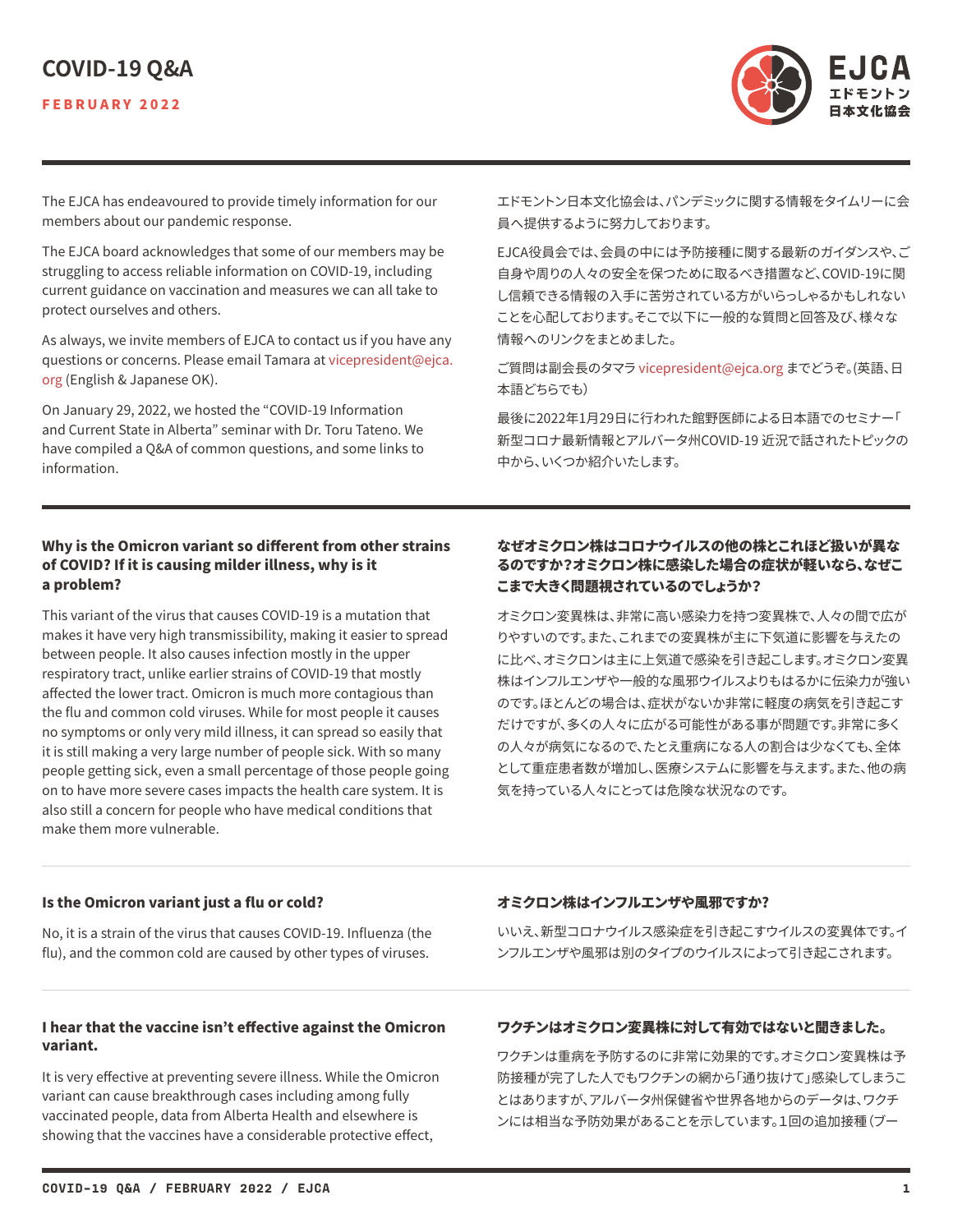# **COVID-19 Q&A**



The EJCA has endeavoured to provide timely information for our members about our pandemic response.

The EJCA board acknowledges that some of our members may be struggling to access reliable information on COVID-19, including current guidance on vaccination and measures we can all take to protect ourselves and others.

As always, we invite members of EJCA to contact us if you have any questions or concerns. Please email Tamara at [vicepresident@ejca.](mailto:vicepresident%40ejca.org?subject=) [org](mailto:vicepresident%40ejca.org?subject=) (English & Japanese OK).

On January 29, 2022, we hosted the "COVID-19 Information and Current State in Alberta" seminar with Dr. Toru Tateno. We have compiled a Q&A of common questions, and some links to information.

エドモントン日本文化協会は、パンデミックに関する情報をタイムリーに会 員へ提供するように努力しております。

EJCA役員会では、会員の中には予防接種に関する最新のガイダンスや、ご 自身や周りの人々の安全を保つために取るべき措置など、COVID-19に関 し信頼できる情報の入手に苦労されている方がいらっしゃるかもしれない ことを心配しております。そこで以下に一般的な質問と回答及び、様々な 情報へのリンクをまとめました。

ご質問は副会長のタマラ [vicepresident@ejca.org](mailto:vicepresident%40ejca.org?subject=) までどうぞ。(英語、日 本語どちらでも)

最後に2022年1月29日に行われた館野医師による日本語でのセミナー「 新型コロナ最新情報とアルバータ州COVID-19 近況で話されたトピックの 中から、いくつか紹介いたします。

### Why is the Omicron variant so different from other strains of COVID? If it is causing milder illness, why is it a problem?

This variant of the virus that causes COVID-19 is a mutation that makes it have very high transmissibility, making it easier to spread between people. It also causes infection mostly in the upper respiratory tract, unlike earlier strains of COVID-19 that mostly affected the lower tract. Omicron is much more contagious than the flu and common cold viruses. While for most people it causes no symptoms or only very mild illness, it can spread so easily that it is still making a very large number of people sick. With so many people getting sick, even a small percentage of those people going on to have more severe cases impacts the health care system. It is also still a concern for people who have medical conditions that make them more vulnerable.

# なぜオミクロン株はコロナウイルスの他の株とこれほど扱いが異な るのですか?オミクロン株に感染した場合の症状が軽いなら、なぜこ こまで大きく問題視されているのでしょうか?

オミクロン変異株は、非常に高い感染力を持つ変異株で、人々の間で広が りやすいのです。また、これまでの変異株が主に下気道に影響を与えたの に比べ、オミクロンは主に上気道で感染を引き起こします。オミクロン変異 株はインフルエンザや一般的な風邪ウイルスよりもはるかに伝染力が強い のです。ほとんどの場合は、症状がないか非常に軽度の病気を引き起こす だけですが、多くの人々に広がる可能性がある事が問題です。非常に多く の人々が病気になるので、たとえ重病になる人の割合は少なくても、全体 として重症患者数が増加し、医療システムに影響を与えます。また、他の病 気を持っている人々にとっては危険な状況なのです。

### Is the Omicron variant just a flu or cold?

No, it is a strain of the virus that causes COVID-19. Influenza (the flu), and the common cold are caused by other types of viruses.

### I hear that the vaccine isn't effective against the Omicron variant.

It is very effective at preventing severe illness. While the Omicron variant can cause breakthrough cases including among fully vaccinated people, data from Alberta Health and elsewhere is showing that the vaccines have a considerable protective effect,

### オミクロン株はインフルエンザや風邪ですか?

いいえ、新型コロナウイルス感染症を引き起こすウイルスの変異体です。イ ンフルエンザや風邪は別のタイプのウイルスによって引き起こされます。

# ワクチンはオミクロン変異株に対して有効ではないと聞きました。

ワクチンは重病を予防するのに非常に効果的です。オミクロン変異株は予 防接種が完了した人でもワクチンの網から「通り抜けて」感染してしまうこ とはありますが、アルバータ州保健省や世界各地からのデータは、ワクチ ンには相当な予防効果があることを示しています。1回の追加接種(ブー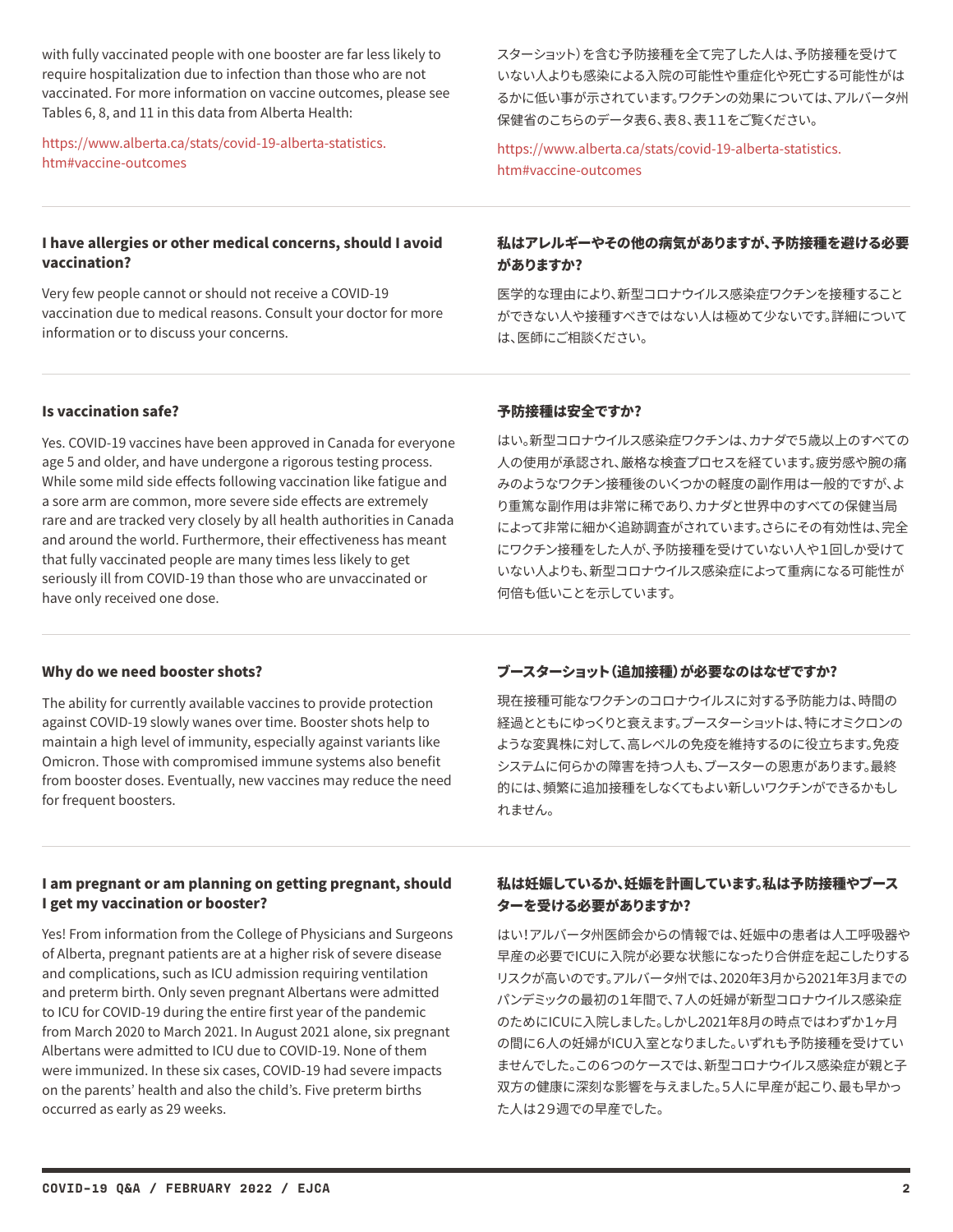with fully vaccinated people with one booster are far less likely to require hospitalization due to infection than those who are not vaccinated. For more information on vaccine outcomes, please see Tables 6, 8, and 11 in this data from Alberta Health:

[https://www.alberta.ca/stats/covid-19-alberta-statistics.](https://www.alberta.ca/stats/covid-19-alberta-statistics.htm#vaccine-outcomes) [htm#vaccine-outcomes](https://www.alberta.ca/stats/covid-19-alberta-statistics.htm#vaccine-outcomes)

### I have allergies or other medical concerns, should I avoid vaccination?

Very few people cannot or should not receive a COVID-19 vaccination due to medical reasons. Consult your doctor for more information or to discuss your concerns.

スターショット)を含む予防接種を全て完了した人は、予防接種を受けて いない人よりも感染による入院の可能性や重症化や死亡する可能性がは るかに低い事が示されています。ワクチンの効果については、アルバータ州 保健省のこちらのデータ表6、表8、表11をご覧ください。

[https://www.alberta.ca/stats/covid-19-alberta-statistics.](https://www.alberta.ca/stats/covid-19-alberta-statistics.htm#vaccine-outcomes ) [htm#vaccine-outcomes](https://www.alberta.ca/stats/covid-19-alberta-statistics.htm#vaccine-outcomes )

# 私はアレルギーやその他の病気がありますが、予防接種を避ける必要 がありますか?

医学的な理由により、新型コロナウイルス感染症ワクチンを接種すること ができない人や接種すべきではない人は極めて少ないです。詳細について は、医師にご相談ください。

### Is vaccination safe?

Yes. COVID-19 vaccines have been approved in Canada for everyone age 5 and older, and have undergone a rigorous testing process. While some mild side effects following vaccination like fatigue and a sore arm are common, more severe side effects are extremely rare and are tracked very closely by all health authorities in Canada and around the world. Furthermore, their effectiveness has meant that fully vaccinated people are many times less likely to get seriously ill from COVID-19 than those who are unvaccinated or have only received one dose.

### 予防接種は安全ですか?

はい。新型コロナウイルス感染症ワクチンは、カナダで5歳以上のすべての 人の使用が承認され、厳格な検査プロセスを経ています。疲労感や腕の痛 みのようなワクチン接種後のいくつかの軽度の副作用は一般的ですが、よ り重篤な副作用は非常に稀であり、カナダと世界中のすべての保健当局 によって非常に細かく追跡調査がされています。さらにその有効性は、完全 にワクチン接種をした人が、予防接種を受けていない人や1回しか受けて いない人よりも、新型コロナウイルス感染症によって重病になる可能性が 何倍も低いことを示しています。

### Why do we need booster shots?

The ability for currently available vaccines to provide protection against COVID-19 slowly wanes over time. Booster shots help to maintain a high level of immunity, especially against variants like Omicron. Those with compromised immune systems also benefit from booster doses. Eventually, new vaccines may reduce the need for frequent boosters.

# ブースターショット(追加接種)が必要なのはなぜですか?

現在接種可能なワクチンのコロナウイルスに対する予防能力は、時間の 経過とともにゆっくりと衰えます。ブースターショットは、特にオミクロンの ような変異株に対して、高レベルの免疫を維持するのに役立ちます。免疫 システムに何らかの障害を持つ人も、ブースターの恩恵があります。最終 的には、頻繁に追加接種をしなくてもよい新しいワクチンができるかもし れません。

### I am pregnant or am planning on getting pregnant, should I get my vaccination or booster?

Yes! From information from the College of Physicians and Surgeons of Alberta, pregnant patients are at a higher risk of severe disease and complications, such as ICU admission requiring ventilation and preterm birth. Only seven pregnant Albertans were admitted to ICU for COVID-19 during the entire first year of the pandemic from March 2020 to March 2021. In August 2021 alone, six pregnant Albertans were admitted to ICU due to COVID-19. None of them were immunized. In these six cases, COVID-19 had severe impacts on the parents' health and also the child's. Five preterm births occurred as early as 29 weeks.

# 私は妊娠しているか、妊娠を計画しています。私は予防接種やブース ターを受ける必要がありますか?

はい!アルバータ州医師会からの情報では、妊娠中の患者は人工呼吸器や 早産の必要でICUに入院が必要な状態になったり合併症を起こしたりする リスクが高いのです。アルバータ州では、2020年3月から2021年3月までの パンデミックの最初の1年間で、7人の妊婦が新型コロナウイルス感染症 のためにICUに入院しました。しかし2021年8月の時点ではわずか1ヶ月 の間に6人の妊婦がICU入室となりました。いずれも予防接種を受けてい ませんでした。この6つのケースでは、新型コロナウイルス感染症が親と子 双方の健康に深刻な影響を与えました。5人に早産が起こり、最も早かっ た人は29週での早産でした。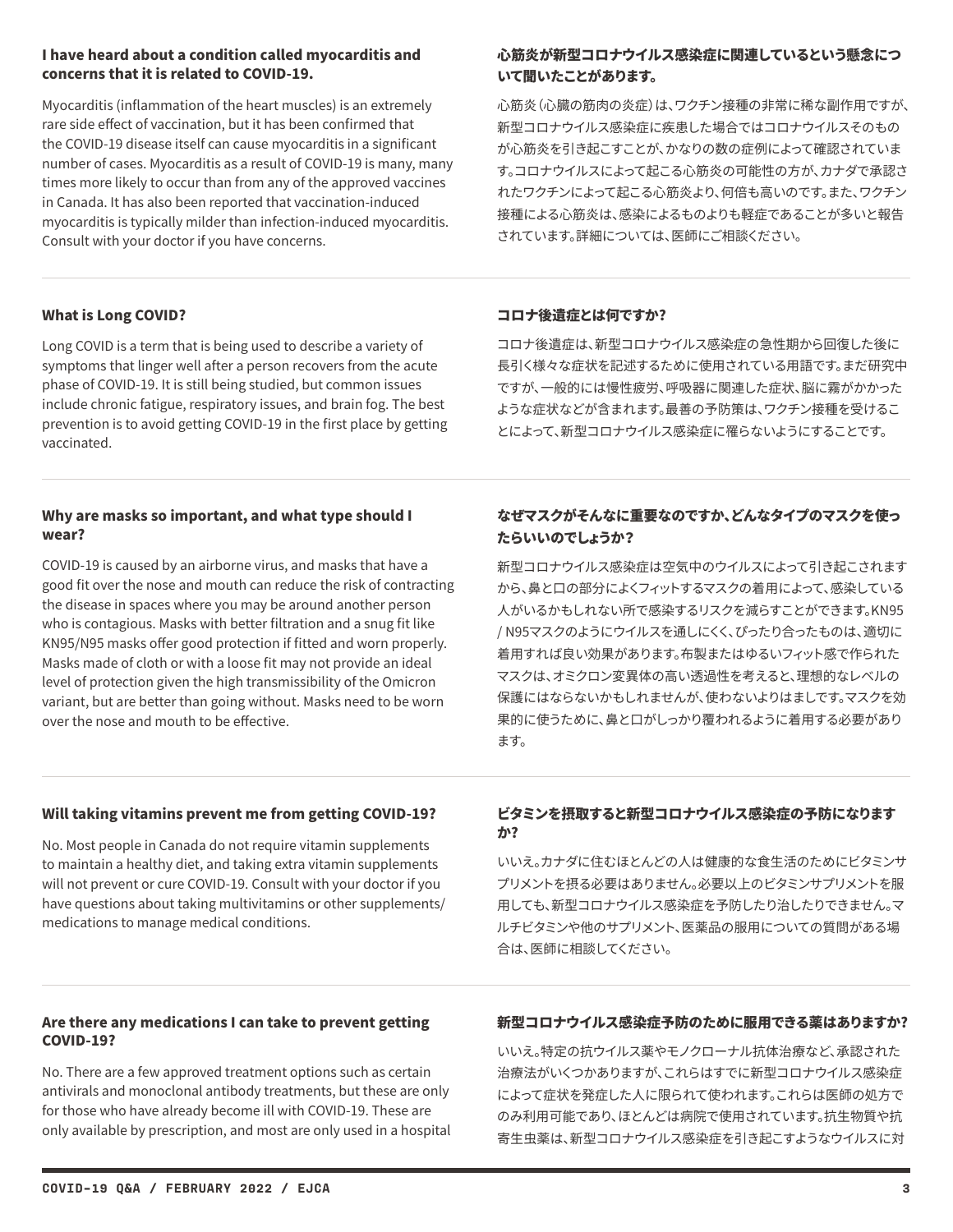### I have heard about a condition called myocarditis and concerns that it is related to COVID-19.

Myocarditis (inflammation of the heart muscles) is an extremely rare side effect of vaccination, but it has been confirmed that the COVID-19 disease itself can cause myocarditis in a significant number of cases. Myocarditis as a result of COVID-19 is many, many times more likely to occur than from any of the approved vaccines in Canada. It has also been reported that vaccination-induced myocarditis is typically milder than infection-induced myocarditis. Consult with your doctor if you have concerns.

# 心筋炎が新型コロナウイルス感染症に関連しているという懸念につ いて聞いたことがあります。

心筋炎(心臓の筋肉の炎症)は、ワクチン接種の非常に稀な副作用ですが、 新型コロナウイルス感染症に疾患した場合ではコロナウイルスそのもの が心筋炎を引き起こすことが、かなりの数の症例によって確認されていま す。コロナウイルスによって起こる心筋炎の可能性の方が、カナダで承認さ れたワクチンによって起こる心筋炎より、何倍も高いのです。また、ワクチン 接種による心筋炎は、感染によるものよりも軽症であることが多いと報告 されています。詳細については、医師にご相談ください。

# What is Long COVID?

Long COVID is a term that is being used to describe a variety of symptoms that linger well after a person recovers from the acute phase of COVID-19. It is still being studied, but common issues include chronic fatigue, respiratory issues, and brain fog. The best prevention is to avoid getting COVID-19 in the first place by getting vaccinated.

### コロナ後遺症とは何ですか?

コロナ後遺症は、新型コロナウイルス感染症の急性期から回復した後に 長引く様々な症状を記述するために使用されている用語です。まだ研究中 ですが、一般的には慢性疲労、呼吸器に関連した症状、脳に霧がかかった ような症状などが含まれます。最善の予防策は、ワクチン接種を受けるこ とによって、新型コロナウイルス感染症に罹らないようにすることです。

### Why are masks so important, and what type should I wear?

COVID-19 is caused by an airborne virus, and masks that have a good fit over the nose and mouth can reduce the risk of contracting the disease in spaces where you may be around another person who is contagious. Masks with better filtration and a snug fit like KN95/N95 masks offer good protection if fitted and worn properly. Masks made of cloth or with a loose fit may not provide an ideal level of protection given the high transmissibility of the Omicron variant, but are better than going without. Masks need to be worn over the nose and mouth to be effective.

# なぜマスクがそんなに重要なのですか、どんなタイプのマスクを使っ たらいいのでしょうか?

新型コロナウイルス感染症は空気中のウイルスによって引き起こされます から、鼻と口の部分によくフィットするマスクの着用によって、感染している 人がいるかもしれない所で感染するリスクを減らすことができます。KN95 / N95マスクのようにウイルスを通しにくく、ぴったり合ったものは、適切に 着用すれば良い効果があります。布製またはゆるいフィット感で作られた マスクは、オミクロン変異体の高い透過性を考えると、理想的なレベルの 保護にはならないかもしれませんが、使わないよりはましです。マスクを効 果的に使うために、鼻と口がしっかり覆われるように着用する必要があり ます。

### Will taking vitamins prevent me from getting COVID-19?

No. Most people in Canada do not require vitamin supplements to maintain a healthy diet, and taking extra vitamin supplements will not prevent or cure COVID-19. Consult with your doctor if you have questions about taking multivitamins or other supplements/ medications to manage medical conditions.

# ビタミンを摂取すると新型コロナウイルス感染症の予防になります か?

いいえ。カナダに住むほとんどの人は健康的な食生活のためにビタミンサ プリメントを摂る必要はありません。必要以上のビタミンサプリメントを服 用しても、新型コロナウイルス感染症を予防したり治したりできません。マ ルチビタミンや他のサプリメント、医薬品の服用についての質問がある場 合は、医師に相談してください。

### Are there any medications I can take to prevent getting COVID-19?

No. There are a few approved treatment options such as certain antivirals and monoclonal antibody treatments, but these are only for those who have already become ill with COVID-19. These are only available by prescription, and most are only used in a hospital

# 新型コロナウイルス感染症予防のために服用できる薬はありますか?

いいえ。特定の抗ウイルス薬やモノクローナル抗体治療など、承認された 治療法がいくつかありますが、これらはすでに新型コロナウイルス感染症 によって症状を発症した人に限られて使われます。これらは医師の処方で のみ利用可能であり、ほとんどは病院で使用されています。抗生物質や抗 寄生虫薬は、新型コロナウイルス感染症を引き起こすようなウイルスに対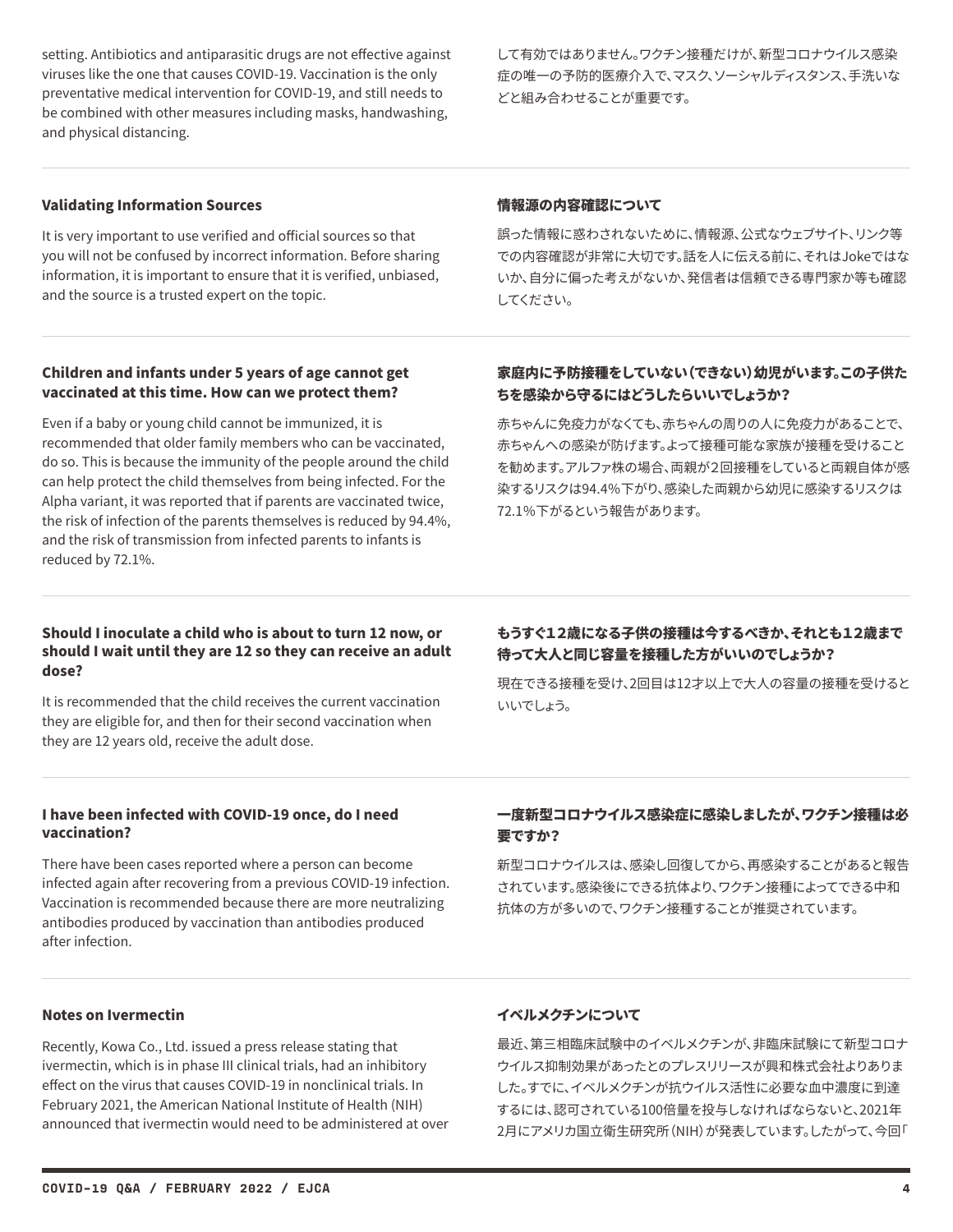setting. Antibiotics and antiparasitic drugs are not effective against viruses like the one that causes COVID-19. Vaccination is the only preventative medical intervention for COVID-19, and still needs to be combined with other measures including masks, handwashing, and physical distancing.

して有効ではありません。ワクチン接種だけが、新型コロナウイルス感染 症の唯一の予防的医療介入で、マスク、ソーシャルディスタンス、手洗いな どと組み合わせることが重要です。

#### Validating Information Sources

It is very important to use verified and official sources so that you will not be confused by incorrect information. Before sharing information, it is important to ensure that it is verified, unbiased, and the source is a trusted expert on the topic.

#### 情報源の内容確認について

誤った情報に惑わされないために、情報源、公式なウェブサイト、リンク等 での内容確認が非常に大切です。話を人に伝える前に、それはJokeではな いか、自分に偏った考えがないか、発信者は信頼できる専門家か等も確認 してください。

### Children and infants under 5 years of age cannot get vaccinated at this time. How can we protect them?

Even if a baby or young child cannot be immunized, it is recommended that older family members who can be vaccinated, do so. This is because the immunity of the people around the child can help protect the child themselves from being infected. For the Alpha variant, it was reported that if parents are vaccinated twice, the risk of infection of the parents themselves is reduced by 94.4%, and the risk of transmission from infected parents to infants is reduced by 72.1%.

# 家庭内に予防接種をしていない(できない)幼児がいます。この子供た ちを感染から守るにはどうしたらいいでしょうか?

赤ちゃんに免疫力がなくても、赤ちゃんの周りの人に免疫力があることで、 赤ちゃんへの感染が防げます。よって接種可能な家族が接種を受けること を勧めます。アルファ株の場合、両親が2回接種をしていると両親自体が感 染するリスクは94.4%下がり、感染した両親から幼児に感染するリスクは 72.1%下がるという報告があります。

### Should I inoculate a child who is about to turn 12 now, or should I wait until they are 12 so they can receive an adult dose?

It is recommended that the child receives the current vaccination they are eligible for, and then for their second vaccination when they are 12 years old, receive the adult dose.

# もうすぐ12歳になる子供の接種は今するべきか、それとも12歳まで 待って大人と同じ容量を接種した方がいいのでしょうか?

現在できる接種を受け、2回目は12才以上で大人の容量の接種を受けると いいでしょう。

### I have been infected with COVID-19 once, do I need vaccination?

There have been cases reported where a person can become infected again after recovering from a previous COVID-19 infection. Vaccination is recommended because there are more neutralizing antibodies produced by vaccination than antibodies produced after infection.

# 一度新型コロナウイルス感染症に感染しましたが、ワクチン接種は必 要ですか?

新型コロナウイルスは、感染し回復してから、再感染することがあると報告 されています。感染後にできる抗体より、ワクチン接種によってできる中和 抗体の方が多いので、ワクチン接種することが推奨されています。

#### Notes on Ivermectin

Recently, Kowa Co., Ltd. issued a press release stating that ivermectin, which is in phase III clinical trials, had an inhibitory effect on the virus that causes COVID-19 in nonclinical trials. In February 2021, the American National Institute of Health (NIH) announced that ivermectin would need to be administered at over

#### イベルメクチンについて

最近、第三相臨床試験中のイベルメクチンが、非臨床試験にて新型コロナ ウイルス抑制効果があったとのプレスリリースが興和株式会社よりありま した。すでに、イベルメクチンが抗ウイルス活性に必要な血中濃度に到達 するには、認可されている100倍量を投与しなければならないと、2021年 2月にアメリカ国立衛生研究所(NIH)が発表しています。したがって、今回「